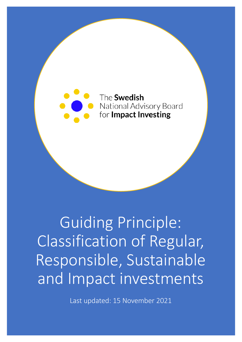

Guiding Principle: Classification of Regular, Responsible, Sustainable and Impact investments

Last updated: 15 November 2021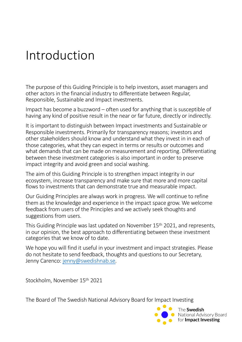### Introduction

The purpose of this Guiding Principle is to help investors, asset managers and other actors in the financial industry to differentiate between Regular, Responsible, Sustainable and Impact investments.

Impact has become a buzzword – often used for anything that is susceptible of having any kind of positive result in the near or far future, directly or indirectly.

It is important to distinguish between Impact investments and Sustainable or Responsible investments. Primarily for transparency reasons; investors and other stakeholders should know and understand what they invest in in each of those categories, what they can expect in terms or results or outcomes and what demands that can be made on measurement and reporting. Differentiating between these investment categories is also important in order to preserve impact integrity and avoid green and social washing.

The aim of this Guiding Principle is to strengthen impact integrity in our ecosystem, increase transparency and make sure that more and more capital flows to investments that can demonstrate true and measurable impact.

Our Guiding Principles are always work in progress. We will continue to refine them as the knowledge and experience in the impact space grow. We welcome feedback from users of the Principles and we actively seek thoughts and suggestions from users.

This Guiding Principle was last updated on November 15th 2021, and represents, in our opinion, the best approach to differentiating between these investment categories that we know of to date.

We hope you will find it useful in your investment and impact strategies. Please do not hesitate to send feedback, thoughts and questions to our Secretary, Jenny Caren[co: jenny@swedishnab](mailto:jenny@swedishnab.se).se.

Stockholm, November 15th 2021

The Board of The Swedish National Advisory Board for Impact Investing

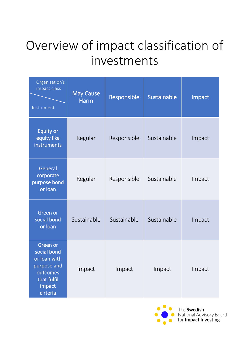## Overview of impact classification of investments

| Organisation's<br>impact class<br>Instrument                                                            | <b>May Cause</b><br><b>Harm</b> | Responsible | Sustainable | Impact |
|---------------------------------------------------------------------------------------------------------|---------------------------------|-------------|-------------|--------|
| <b>Equity or</b><br>equity like<br>instruments                                                          | Regular                         | Responsible | Sustainable | Impact |
| General<br>corporate<br>purpose bond<br>or loan                                                         | Regular                         | Responsible | Sustainable | Impact |
| Green or<br>social bond<br>or loan                                                                      | Sustainable                     | Sustainable | Sustainable | Impact |
| Green or<br>social bond<br>or loan with<br>purpose and<br>outcomes<br>that fulfil<br>impact<br>cirteria | Impact                          | Impact      | Impact      | Impact |

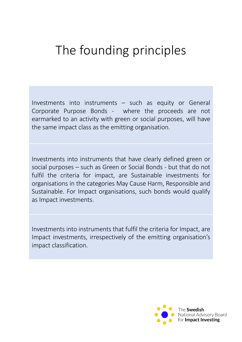#### The founding principles

Investments into instruments – such as equity or General Corporate Purpose Bonds - where the proceeds are not earmarked to an activity with green or social purposes, will have the same impact class as the emitting organisation.

Investments into instruments that have clearly defined green or social purposes – such as Green or Social Bonds - but that do not fulfil the criteria for impact, are Sustainable investments for organisations in the categories May Cause Harm, Responsible and Sustainable. For Impact organisations, such bonds would qualify as Impact investments.

Investments into instruments that fulfil the criteria for Impact, are Impact investments, irrespectively of the emitting organisation's impact classification.

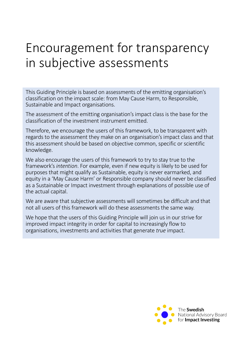#### Encouragement for transparency in subjective assessments

This Guiding Principle is based on assessments of the emitting organisation's classification on the impact scale: from May Cause Harm, to Responsible, Sustainable and Impact organisations.

The assessment of the emitting organisation's impact class is the base for the classification of the investment instrument emitted.

Therefore, we encourage the users of this framework, to be transparent with regards to the assessment they make on an organisation's impact class and that this assessment should be based on objective common, specific or scientific knowledge.

We also encourage the users of this framework to try to stay true to the framework's *intention*. For example, even if new equity is likely to be used for purposes that might qualify as Sustainable, equity is never earmarked, and equity in a 'May Cause Harm' or Responsible company should never be classified as a Sustainable or Impact investment through explanations of possible use of the actual capital.

We are aware that subjective assessments will sometimes be difficult and that not all users of this framework will do these assessments the same way.

We hope that the users of this Guiding Principle will join us in our strive for improved impact integrity in order for capital to increasingly flow to organisations, investments and activities that generate *true* impact.

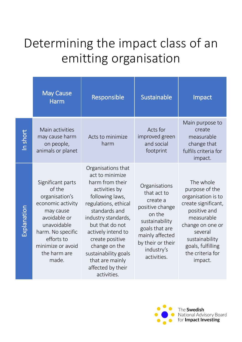# Determining the impact class of an emitting organisation

|             | <b>May Cause</b><br><b>Harm</b>                                                                                                                                                                 | Responsible                                                                                                                                                                                                                                                                                                              | Sustainable                                                                                                                                                                    | Impact                                                                                                                                                                                                      |
|-------------|-------------------------------------------------------------------------------------------------------------------------------------------------------------------------------------------------|--------------------------------------------------------------------------------------------------------------------------------------------------------------------------------------------------------------------------------------------------------------------------------------------------------------------------|--------------------------------------------------------------------------------------------------------------------------------------------------------------------------------|-------------------------------------------------------------------------------------------------------------------------------------------------------------------------------------------------------------|
| In short    | Main activities<br>may cause harm<br>on people,<br>animals or planet                                                                                                                            | Acts to minimize<br>harm                                                                                                                                                                                                                                                                                                 | Acts for<br>improved green<br>and social<br>footprint                                                                                                                          | Main purpose to<br>create<br>measurable<br>change that<br>fulfils criteria for<br>impact.                                                                                                                   |
| Explanation | Significant parts<br>of the<br>organisation's<br>economic activity<br>may cause<br>avoidable or<br>unavoidable<br>harm. No specific<br>efforts to<br>minimize or avoid<br>the harm are<br>made. | Organisations that<br>act to minimize<br>harm from their<br>activities by<br>following laws,<br>regulations, ethical<br>standards and<br>industry standards,<br>but that do not<br>actively intend to<br>create positive<br>change on the<br>sustainability goals<br>that are mainly<br>affected by their<br>activities. | Organisations<br>that act to<br>create a<br>positive change<br>on the<br>sustainability<br>goals that are<br>mainly affected<br>by their or their<br>industry's<br>activities. | The whole<br>purpose of the<br>organisation is to<br>create significant,<br>positive and<br>measurable<br>change on one or<br>several<br>sustainability<br>goals, fulfilling<br>the criteria for<br>impact. |

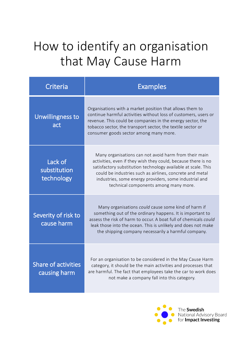## How to identify an organisation that May Cause Harm

| Criteria                                   | <b>Examples</b>                                                                                                                                                                                                                                                                                                                                        |
|--------------------------------------------|--------------------------------------------------------------------------------------------------------------------------------------------------------------------------------------------------------------------------------------------------------------------------------------------------------------------------------------------------------|
| Unwillingness to<br>act                    | Organisations with a market position that allows them to<br>continue harmful activities without loss of customers, users or<br>revenue. This could be companies in the energy sector, the<br>tobacco sector, the transport sector, the textile sector or<br>consumer goods sector among many more.                                                     |
| Lack of<br>substitution<br>technology      | Many organisations can not avoid harm from their main<br>activities, even if they wish they could, because there is no<br>satisfactory substitution technology available at scale. This<br>could be industries such as airlines, concrete and metal<br>industries, some energy providers, some industrial and<br>technical components among many more. |
| Severity of risk to<br>cause harm          | Many organisations could cause some kind of harm if<br>something out of the ordinary happens. It is important to<br>assess the risk of harm to occur. A boat full of chemicals could<br>leak those into the ocean. This is unlikely and does not make<br>the shipping company necessarily a harmful company.                                           |
| <b>Share of activities</b><br>causing harm | For an organisation to be considered in the May Cause Harm<br>category, it should be the main activities and processes that<br>are harmful. The fact that employees take the car to work does<br>not make a company fall into this category.                                                                                                           |

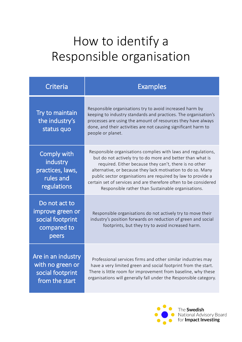## How to identify a Responsible organisation

| Criteria                                                                       | <b>Examples</b>                                                                                                                                                                                                                                                                                                                                                                                                                                |
|--------------------------------------------------------------------------------|------------------------------------------------------------------------------------------------------------------------------------------------------------------------------------------------------------------------------------------------------------------------------------------------------------------------------------------------------------------------------------------------------------------------------------------------|
| Try to maintain<br>the industry's<br>status quo                                | Responsible organisations try to avoid increased harm by<br>keeping to industry standards and practices. The organisation's<br>processes are using the amount of resources they have always<br>done, and their activities are not causing significant harm to<br>people or planet.                                                                                                                                                             |
| <b>Comply with</b><br>industry<br>practices, laws,<br>rules and<br>regulations | Responsible organisations complies with laws and regulations,<br>but do not actively try to do more and better than what is<br>required. Either because they can't, there is no other<br>alternative, or because they lack motivation to do so. Many<br>public sector organisations are required by law to provide a<br>certain set of services and are therefore often to be considered<br>Responsible rather than Sustainable organisations. |
| Do not act to<br>improve green or<br>social footprint<br>compared to<br>peers  | Responsible organisations do not actively try to move their<br>industry's position forwards on reduction of green and social<br>footprints, but they try to avoid increased harm.                                                                                                                                                                                                                                                              |
| Are in an industry<br>with no green or<br>social footprint<br>from the start   | Professional services firms and other similar industries may<br>have a very limited green and social footprint from the start.<br>There is little room for improvement from baseline, why these<br>organisations will generally fall under the Responsible category.                                                                                                                                                                           |

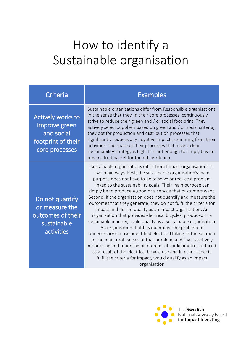#### How to identify a Sustainable organisation

| Criteria |  |
|----------|--|
|          |  |

Actively works to improve green and social footprint of their core processes

Do not quantify or measure the outcomes of their sustainable activities

Examples

Sustainable organisations differ from Responsible organisations in the sense that they, in their core processes, continuously strive to reduce their green and / or social foot print. They actively select suppliers based on green and / or social criteria, they opt for production and distribution processes that significantly reduces any negative impacts stemming from their activities. The share of their processes that have a clear sustainability strategy is high. It is not enough to simply buy an organic fruit basket for the office kitchen.

Sustainable organisations differ from Impact organisations in two main ways. First, the sustainable organisation's main purpose does not have to be to solve or reduce a problem linked to the sustainability goals. Their main purpose can simply be to produce a good or a service that customers want. Second, if the organisation does not quantify and measure the outcomes that they generate, they do not fulfil the criteria for impact and do not qualify as an Impact organisation. An organisation that provides electrical bicycles, produced in a sustainable manner, could qualify as a Sustainable organisation. An organisation that has quantified the problem of unnecessary car use, identified electrical biking as the solution to the main root causes of that problem, and that is actively monitoring and reporting on number of car kilometres reduced as a result of the electrical bicycle use and in other aspects fulfil the criteria for impact, would qualify as an impact organisation

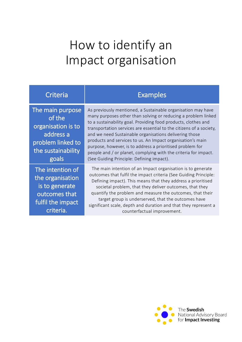#### How to identify an Impact organisation

| Criteria                                                                                                          | <b>Examples</b>                                                                                                                                                                                                                                                                                                                                                                                                                                                                                                                                                             |
|-------------------------------------------------------------------------------------------------------------------|-----------------------------------------------------------------------------------------------------------------------------------------------------------------------------------------------------------------------------------------------------------------------------------------------------------------------------------------------------------------------------------------------------------------------------------------------------------------------------------------------------------------------------------------------------------------------------|
| The main purpose<br>of the<br>organisation is to<br>address a<br>problem linked to<br>the sustainability<br>goals | As previously mentioned, a Sustainable organisation may have<br>many purposes other than solving or reducing a problem linked<br>to a sustainability goal. Providing food products, clothes and<br>transportation services are essential to the citizens of a society,<br>and we need Sustainable organisations delivering those<br>products and services to us. An Impact organisation's main<br>purpose, however, is to address a prioritised problem for<br>people and / or planet, complying with the criteria for impact.<br>(See Guiding Principle: Defining impact). |
| The intention of<br>the organisation<br>is to generate<br>outcomes that<br>fulfil the impact<br>criteria.         | The main intention of an Impact organisation is to generate<br>outcomes that fulfil the impact criteria (See Guiding Principle:<br>Defining impact). This means that they address a prioritised<br>societal problem, that they deliver outcomes, that they<br>quantify the problem and measure the outcomes, that their<br>target group is underserved, that the outcomes have<br>significant scale, depth and duration and that they represent a                                                                                                                           |
|                                                                                                                   | counterfactual improvement.                                                                                                                                                                                                                                                                                                                                                                                                                                                                                                                                                 |

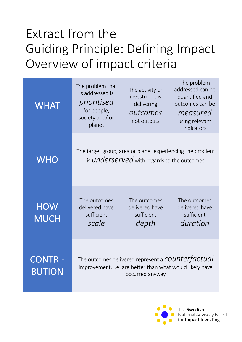## Extract from the Guiding Principle: Defining Impact Overview of impact criteria

| <b>WHAT</b>                     | The problem that<br>is addressed is<br>prioritised<br>for people,<br>society and/ or<br>planet                                           | The activity or<br>investment is<br>delivering<br>outcomes<br>not outputs | The problem<br>addressed can be<br>quantified and<br>outcomes can be<br>measured<br>using relevant<br>indicators |  |
|---------------------------------|------------------------------------------------------------------------------------------------------------------------------------------|---------------------------------------------------------------------------|------------------------------------------------------------------------------------------------------------------|--|
| <b>WHO</b>                      | The target group, area or planet experiencing the problem<br>is <b>underserved</b> with regards to the outcomes                          |                                                                           |                                                                                                                  |  |
| <b>HOW</b><br><b>MUCH</b>       | The outcomes<br>delivered have<br>sufficient<br>scale                                                                                    | The outcomes<br>delivered have<br>sufficient<br>depth                     | The outcomes<br>delivered have<br>sufficient<br>duration                                                         |  |
| <b>CONTRI-</b><br><b>BUTION</b> | The outcomes delivered represent a <b>COUNTET factual</b><br>improvement, i.e. are better than what would likely have<br>occurred anyway |                                                                           |                                                                                                                  |  |

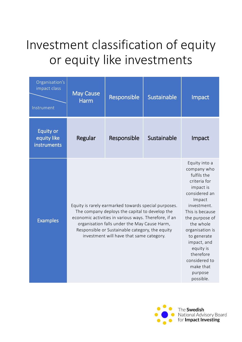## Investment classification of equity or equity like investments

| Organisation's<br>impact class<br>Instrument   | <b>May Cause</b><br><b>Harm</b>                                                                                                                                                                                                                                                                                | Responsible | Sustainable                                                                                                                                                                                                                                                                                           | Impact |
|------------------------------------------------|----------------------------------------------------------------------------------------------------------------------------------------------------------------------------------------------------------------------------------------------------------------------------------------------------------------|-------------|-------------------------------------------------------------------------------------------------------------------------------------------------------------------------------------------------------------------------------------------------------------------------------------------------------|--------|
| <b>Equity or</b><br>equity like<br>instruments | Regular                                                                                                                                                                                                                                                                                                        | Responsible | Sustainable                                                                                                                                                                                                                                                                                           | Impact |
| <b>Examples</b>                                | Equity is rarely earmarked towards special purposes.<br>The company deploys the capital to develop the<br>economic activities in various ways. Therefore, if an<br>organisation falls under the May Cause Harm,<br>Responsible or Sustainable category, the equity<br>investment will have that same category. |             | Equity into a<br>company who<br>fulfils the<br>criteria for<br>impact is<br>considered an<br>Impact<br>investment.<br>This is because<br>the purpose of<br>the whole<br>organisation is<br>to generate<br>impact, and<br>equity is<br>therefore<br>considered to<br>make that<br>purpose<br>possible. |        |

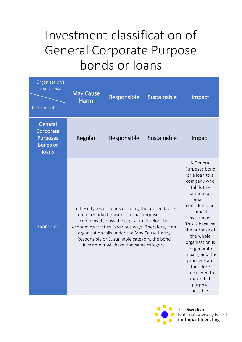## Investment classification of General Corporate Purpose bonds or loans

| Organisation's<br>impact class<br>Instrument                 | <b>May Cause</b><br><b>Harm</b> | Responsible                                                                                                                                                                                                                                                                                                                                           | Sustainable | Impact                                                                                                                                                                                                                                                                                                                                      |
|--------------------------------------------------------------|---------------------------------|-------------------------------------------------------------------------------------------------------------------------------------------------------------------------------------------------------------------------------------------------------------------------------------------------------------------------------------------------------|-------------|---------------------------------------------------------------------------------------------------------------------------------------------------------------------------------------------------------------------------------------------------------------------------------------------------------------------------------------------|
| General<br>Corporate<br><b>Purposes</b><br>bonds or<br>loans | Regular                         | Responsible                                                                                                                                                                                                                                                                                                                                           | Sustainable | Impact                                                                                                                                                                                                                                                                                                                                      |
| <b>Examples</b>                                              |                                 | In these types of bonds or loans, the proceeds are<br>not earmarked towards special purposes. The<br>company deploys the capital to develop the<br>economic activities in various ways. Therefore, if an<br>organisation falls under the May Cause Harm,<br>Responsible or Sustainable category, the bond<br>investment will have that same category. |             | A General<br>Purposes bond<br>or a loan to a<br>company who<br>fulfils the<br>criteria for<br>impact is<br>considered an<br>Impact<br>investment.<br>This is because<br>the purpose of<br>the whole<br>organisation is<br>to generate<br>impact, and the<br>proceeds are<br>therefore<br>considered to<br>make that<br>purpose<br>possible. |



National Advisory Board for Impact Investing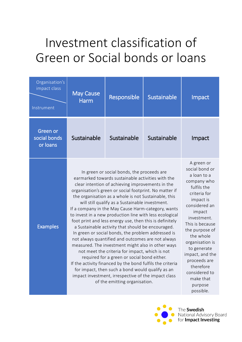# Investment classification of Green or Social bonds or loans

| Organisation's<br>impact class<br>Instrument | <b>May Cause</b><br><b>Harm</b> | Responsible                                                                                                                                                                                                                                                                                                                                                                                                                                                                                                                                                                                                                                                                                                                                                                                                                                                                                                                                                                                                                         | Sustainable | Impact                                                                                                                                                                                                                                                                                                                                     |
|----------------------------------------------|---------------------------------|-------------------------------------------------------------------------------------------------------------------------------------------------------------------------------------------------------------------------------------------------------------------------------------------------------------------------------------------------------------------------------------------------------------------------------------------------------------------------------------------------------------------------------------------------------------------------------------------------------------------------------------------------------------------------------------------------------------------------------------------------------------------------------------------------------------------------------------------------------------------------------------------------------------------------------------------------------------------------------------------------------------------------------------|-------------|--------------------------------------------------------------------------------------------------------------------------------------------------------------------------------------------------------------------------------------------------------------------------------------------------------------------------------------------|
| Green or<br>social bonds<br>or loans         | Sustainable                     | Sustainable                                                                                                                                                                                                                                                                                                                                                                                                                                                                                                                                                                                                                                                                                                                                                                                                                                                                                                                                                                                                                         | Sustainable | Impact                                                                                                                                                                                                                                                                                                                                     |
| <b>Examples</b>                              |                                 | In green or social bonds, the proceeds are<br>earmarked towards sustainable activities with the<br>clear intention of achieving improvements in the<br>organisation's green or social footprint. No matter if<br>the organisation as a whole is not Sustainable, this<br>will still qualify as a Sustainable investment.<br>If a company in the May Cause Harm-category, wants<br>to invest in a new production line with less ecological<br>foot print and less energy use, then this is definitely<br>a Sustainable activity that should be encouraged.<br>In green or social bonds, the problem addressed is<br>not always quantified and outcomes are not always<br>measured. The investment might also in other ways<br>not meet the criteria for impact, which is not<br>required for a green or social bond either.<br>If the activity financed by the bond fulfils the criteria<br>for impact, then such a bond would qualify as an<br>impact investment, irrespective of the impact class<br>of the emitting organisation. |             | A green or<br>social bond or<br>a loan to a<br>company who<br>fulfils the<br>criteria for<br>impact is<br>considered an<br>impact<br>investment.<br>This is because<br>the purpose of<br>the whole<br>organisation is<br>to generate<br>impact, and the<br>proceeds are<br>therefore<br>considered to<br>make that<br>purpose<br>possible. |



National Advisory Board for Impact Investing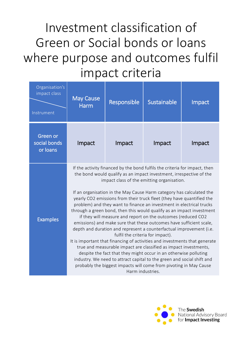Investment classification of Green or Social bonds or loans where purpose and outcomes fulfil impact criteria

| Organisation's<br>impact class<br>Instrument | <b>May Cause</b><br><b>Harm</b> | Responsible                      | Sustainable                                                                                                                                                                                                                                                                                                                                                                                                                                                                                                                                                                                                                                                                                                                                                                                                                                                                                                                                                                                                                                                                                              | Impact |
|----------------------------------------------|---------------------------------|----------------------------------|----------------------------------------------------------------------------------------------------------------------------------------------------------------------------------------------------------------------------------------------------------------------------------------------------------------------------------------------------------------------------------------------------------------------------------------------------------------------------------------------------------------------------------------------------------------------------------------------------------------------------------------------------------------------------------------------------------------------------------------------------------------------------------------------------------------------------------------------------------------------------------------------------------------------------------------------------------------------------------------------------------------------------------------------------------------------------------------------------------|--------|
| Green or<br>social bonds<br>or loans         | Impact                          | Impact                           | Impact                                                                                                                                                                                                                                                                                                                                                                                                                                                                                                                                                                                                                                                                                                                                                                                                                                                                                                                                                                                                                                                                                                   | Impact |
| <b>Examples</b>                              |                                 | fulfil the criteria for impact). | If the activity financed by the bond fulfils the criteria for impact, then<br>the bond would qualify as an impact investment, irrespective of the<br>impact class of the emitting organisation.<br>If an organisation in the May Cause Harm category has calculated the<br>yearly CO2 emissions from their truck fleet (they have quantified the<br>problem) and they want to finance an investment in electrical trucks<br>through a green bond, then this would qualify as an impact investment<br>if they will measure and report on the outcomes (reduced CO2<br>emissions) and make sure that these outcomes have sufficient scale,<br>depth and duration and represent a counterfactual improvement (i.e.<br>It is important that financing of activities and investments that generate<br>true and measurable impact are classified as impact investments,<br>despite the fact that they might occur in an otherwise polluting<br>industry. We need to attract capital to the green and social shift and<br>probably the biggest impacts will come from pivoting in May Cause<br>Harm industries. |        |

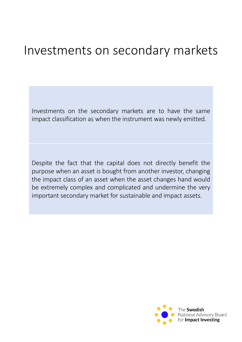#### Investments on secondary markets

Investments on the secondary markets are to have the same impact classification as when the instrument was newly emitted.

Despite the fact that the capital does not directly benefit the purpose when an asset is bought from another investor, changing the impact class of an asset when the asset changes hand would be extremely complex and complicated and undermine the very important secondary market for sustainable and impact assets.

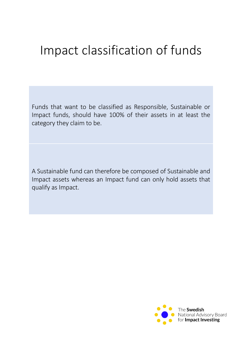### Impact classification of funds

Funds that want to be classified as Responsible, Sustainable or Impact funds, should have 100% of their assets in at least the category they claim to be.

A Sustainable fund can therefore be composed of Sustainable and Impact assets whereas an Impact fund can only hold assets that qualify as Impact.